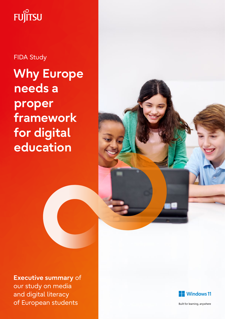# **FUJITSU**

**Why Europe needs a proper framework for digital education** FIDA Study



**Executive summary** of our study on media and digital literacy of European students



Built for learning, anywhere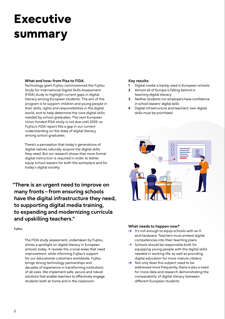### **Executive summary**

#### **What and how: from Pisa to FIDA.**

Technology giant Fujitsu commissioned the Fujitsu Study for International Digital Skills Assessment (FIDA) study to highlight current gaps in digital literacy among European students. The aim of the program is to support children and young people in their skills, rights and responsibilities in the digital world, and to help determine the core digital skills needed by school graduates. The next European Union funded PISA study is not due until 2025, so Fujitsu's FIDA report fills a gap in our current understanding on the state of digital literacy among school graduates.

There's a perception that today's generations of digital natives naturally acquire the digital skills they need. But our research shows that more formal digital instruction is required in order to better equip school leavers for both the workplace and for today's digital society.

**"There is an urgent need to improve on many fronts – from ensuring schools have the digital infrastructure they need, to supporting digital media training, to expanding and modernizing curricula and upskilling teachers."**

**Fujitsu**

The FIDA study assessment, undertaken by Fujitsu, shines a spotlight on digital literacy in European schools today. It reveals the crucial areas that need improvement, while informing Fujitsu's support for our educational customers worldwide. Fujitsu brings strong technology partnerships and decades of experience in transforming institutions of all sizes. We implement safe, secure and robust solutions that enable teachers to effectively engage students both at home and in the classroom.

#### **Key results:**

- **1** Digital media is barely used in European schools
- **2** Almost all of Europe is falling behind in teaching digital literacy
- **3** Neither students nor employers have confidence in school leavers' digital skills
- **4** Digital infrastructure and teachers' own digital skills must be prioritized



#### **What needs to happen now?**

- $\rightarrow$  It's not enough to equip schools with wi-fi and hardware. Teachers must embed digital competencies into their teaching plans
- $\rightarrow$  Schools should be responsible both for equipping young people with the digital skills needed in working life, as well as providing digital education for more mature citizens
- $\rightarrow$  Not only does this subject need to be addressed more frequently, there is also a need for more data and research demonstrating the comparability of digital literacy between different European students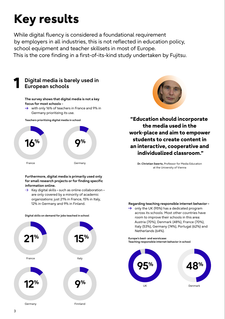While digital fluency is considered a foundational requirement by employers in all industries, this is not reflected in education policy, school equipment and teacher skillsets in most of Europe. This is the core finding in a first-of-its-kind study undertaken by Fujitsu.



#### **Furthermore, digital media is primarily used only for small research projects or for finding specific information online.**

 $\rightarrow$  Key digital skills – such as online collaboration – are only covered by a minority of academic organizations: just 21% in France, 15% in Italy, 12% in Germany and 9% in Finland.





**"Education should incorporate the media used in the work-place and aim to empower students to create content in an interactive, cooperative and individualized classroom."**

**Dr.Christian Swertz,** Professor for Media Education at the University of Vienna

#### **Regarding teaching responsible internet behavior–**

 $\rightarrow$  only the UK (95%) has a dedicated program across its schools. Most other countries have room to improve their schools in this area: Austria (70%), Denmark (48%), France (70%), Italy (53%), Germany (74%), Portugal (62%) and Netherlands (64%).

**Europe's best- and worstcase: Teaching responsible internet behavior in school**



**Digital skills on demand for jobs teached in school**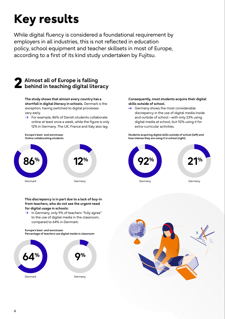While digital fluency is considered a foundational requirement by employers in all industries, this is not reflected in education policy, school equipment and teacher skillsets in most of Europe, according to a first of its kind study undertaken by Fujitsu.

### **2 Almost all of Europe is falling behind in teaching digital literacy**

**The study shows that almost every country has a shortfall in digital literacy in schools.** Denmark is the exception, having switched to digital processes very early.

 $\rightarrow$  For example, 86% of Danish students collaborate online at least once a week, while the figure is only 12% in Germany. The UK, France and Italy also lag.

**Europe's best- and worstcase: Online collaborating students**



#### **This discrepancy is in part due to a lack of buy-in from teachers, who do not see the urgent need for digital usage in schools:**

 $\rightarrow$  In Germany, only 9% of teachers "fully agree" to the use of digital media in the classroom, compared to 64% in Denmark.

**Europe's best- and worstcase: Percentage of teachers use digital media in classroom**



#### **Consequently, most students acquire their digital skills outside of school.**

 $\rightarrow$  Germany shows the most considerable discrepancy in the use of digital media inside and outside of school– with only 23% using digital media at school, but 92% using it for extra-curricular activities.

**Students acquiring digital skills outside of school (left) and how intense they are using it in school (right)**



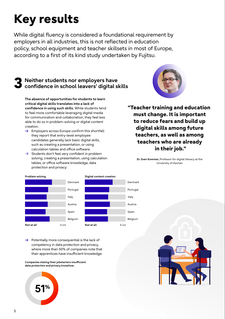While digital fluency is considered a foundational requirement by employers in all industries, this is not reflected in education policy, school equipment and teacher skillsets in most of Europe, according to a first of its kind study undertaken by Fujitsu.

## **3 Neither students nor employers have confidence in school leavers' digital skills**

**The absence of opportunities for students to learn critical digital skills translates into a lack of confidence in using such skills.** While students tend to feel more comfortable leveraging digital media for communication and collaboration, they feel less able to do so in problem-solving or digital content creation.

- $\rightarrow$  Employers across Europe confirm this shortfall: they report that entry-level employee candidates generally lack basic digital skills, such as creating a presentation, or using calculation tables and office software.
- $\rightarrow$  Students don't feel very confident in problem solving, creating a presentation, using calculation tables, or office software knowledge, data protection and privacy:



**"Teacher training and education must change. It is important to reduce fears and build up digital skills among future teachers, as well as among teachers who are already in their job."**

> **Dr.Sven Kommer,** Professor for digital literacy at the University of Aachen



 $\rightarrow$  Potentially more consequential is the lack of competency in data protection and privacy, where more than 50% of companies note that their apprentices have insufficient knowledge.

**Companies stating their jobstarters insufficient data protection and privacy knowhow:**